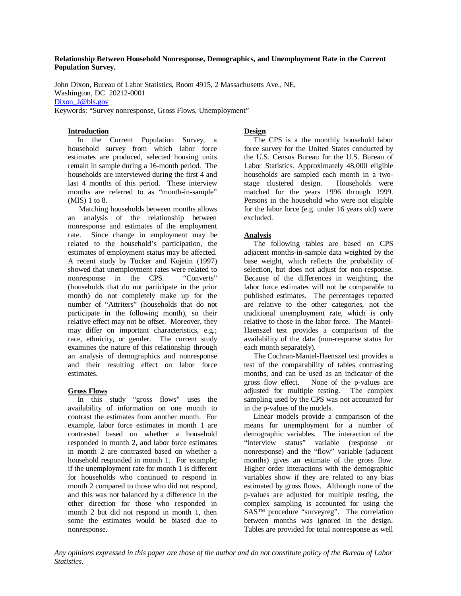#### **Relationship Between Household Nonresponse, Demographics, and Unemployment Rate in the Current Population Survey.**

John Dixon, Bureau of Labor Statistics, Room 4915, 2 Massachusetts Ave., NE, Washington, DC 20212-0001 Dixon J@bls.gov

Keywords: "Survey nonresponse, Gross Flows, Unemployment"

#### **Introduction**

 In the Current Population Survey, a household survey from which labor force estimates are produced, selected housing units remain in sample during a 16-month period. The households are interviewed during the first 4 and last 4 months of this period. These interview months are referred to as "month-in-sample" (MIS) 1 to 8.

 Matching households between months allows an analysis of the relationship between nonresponse and estimates of the employment rate. Since change in employment may be related to the household's participation, the estimates of employment status may be affected. A recent study by Tucker and Kojetin (1997) showed that unemployment rates were related to nonresponse in the CPS. "Converts" (households that do not participate in the prior month) do not completely make up for the number of "Attriters" (households that do not participate in the following month), so their relative effect may not be offset. Moreover, they may differ on important characteristics, e.g.; race, ethnicity, or gender. The current study examines the nature of this relationship through an analysis of demographics and nonresponse and their resulting effect on labor force estimates.

# **Gross Flows**

 In this study "gross flows" uses the availability of information on one month to contrast the estimates from another month. For example, labor force estimates in month 1 are contrasted based on whether a household responded in month 2, and labor force estimates in month 2 are contrasted based on whether a household responded in month 1. For example; if the unemployment rate for month 1 is different for households who continued to respond in month 2 compared to those who did not respond, and this was not balanced by a difference in the other direction for those who responded in month 2 but did not respond in month 1, then some the estimates would be biased due to nonresponse.

# **Design**

 The CPS is a the monthly household labor force survey for the United States conducted by the U.S. Census Bureau for the U.S. Bureau of Labor Statistics. Approximately 48,000 eligible households are sampled each month in a twostage clustered design. Households were matched for the years 1996 through 1999. Persons in the household who were not eligible for the labor force (e.g. under 16 years old) were excluded.

# **Analysis**

 The following tables are based on CPS adjacent months-in-sample data weighted by the base weight, which reflects the probability of selection, but does not adjust for non-response. Because of the differences in weighting, the labor force estimates will not be comparable to published estimates. The percentages reported are relative to the other categories, not the traditional unemployment rate, which is only relative to those in the labor force. The Mantel-Haenszel test provides a comparison of the availability of the data (non-response status for each month separately).

 The Cochran-Mantel-Haenszel test provides a test of the comparability of tables contrasting months, and can be used as an indicator of the gross flow effect. None of the p-values are adjusted for multiple testing. The complex sampling used by the CPS was not accounted for in the p-values of the models.

 Linear models provide a comparison of the means for unemployment for a number of demographic variables. The interaction of the "interview status" variable (response or nonresponse) and the "flow" variable (adjacent months) gives an estimate of the gross flow. Higher order interactions with the demographic variables show if they are related to any bias estimated by gross flows. Although none of the p-values are adjusted for multiple testing, the complex sampling is accounted for using the SAS™ procedure "surveyreg". The correlation between months was ignored in the design. Tables are provided for total nonresponse as well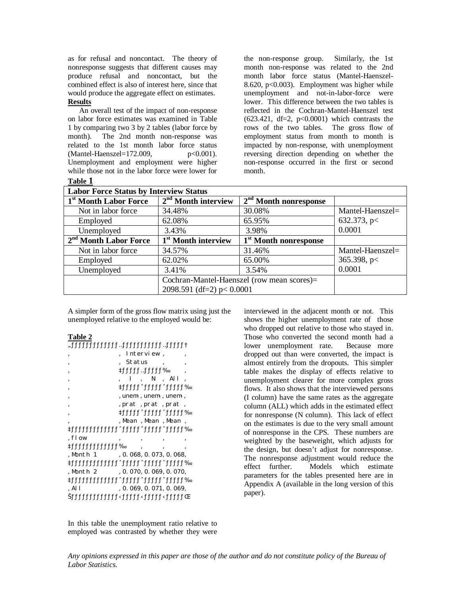as for refusal and noncontact. The theory of nonresponse suggests that different causes may produce refusal and noncontact, but the combined effect is also of interest here, since that would produce the aggregate effect on estimates. **Results**

 An overall test of the impact of non-response on labor force estimates was examined in Table 1 by comparing two 3 by 2 tables (labor force by month). The 2nd month non-response was related to the 1st month labor force status<br>(Mantel-Haenszel=172.009,  $p<0.001$ ).  $(Mantel-Haenszel=172.009,$ Unemployment and employment were higher while those not in the labor force were lower for **Table 1**

the non-response group. Similarly, the 1st month non-response was related to the 2nd month labor force status (Mantel-Haenszel-8.620, p<0.003). Employment was higher while unemployment and not-in-labor-force were lower. This difference between the two tables is reflected in the Cochran-Mantel-Haenszel test  $(623.421, df=2, p<0.0001)$  which contrasts the rows of the two tables. The gross flow of employment status from month to month is impacted by non-response, with unemployment reversing direction depending on whether the non-response occurred in the first or second month.

| <b>Labor Force Status by Interview Status</b> |                                            |                                   |                    |  |  |  |
|-----------------------------------------------|--------------------------------------------|-----------------------------------|--------------------|--|--|--|
| 1 <sup>st</sup> Month Labor Force             | $2nd$ Month interview                      | $2nd$ Month nonresponse           |                    |  |  |  |
| Not in labor force                            | 34.48%                                     | 30.08%                            | $Mantel-Haenszel=$ |  |  |  |
| Employed                                      | 62.08%                                     | 65.95%                            | 632.373, $p <$     |  |  |  |
| Unemployed                                    | 3.43%                                      | 3.98%                             | 0.0001             |  |  |  |
| $2nd$ Month Labor Force                       | 1 <sup>st</sup> Month interview            | 1 <sup>st</sup> Month nonresponse |                    |  |  |  |
| Not in labor force                            | 34.57%                                     | 31.46%                            | $Mantel-Haenszel=$ |  |  |  |
| Employed                                      | 62.02%                                     | 65.00%                            | 365.398, $p <$     |  |  |  |
| Unemployed                                    | 3.41%                                      | 3.54%                             | 0.0001             |  |  |  |
|                                               | Cochran-Mantel-Haenszel (row mean scores)= |                                   |                    |  |  |  |
|                                               | 2098.591 (df=2) $p < 0.0001$               |                                   |                    |  |  |  |

A simpler form of the gross flow matrix using just the unemployed relative to the employed would be:

#### **Table 2**

|                    | Interview,                             |  |
|--------------------|----------------------------------------|--|
|                    | Status                                 |  |
|                    | rfffff…ffffff‰                         |  |
|                    | . I.N.All                              |  |
|                    | %11111^11111111111                     |  |
|                    | , unem-, unem-, unem-,                 |  |
|                    | , prat, prat, prat,                    |  |
|                    | %11111^11111111111                     |  |
|                    | , Mean , Mean , Mean ,                 |  |
|                    |                                        |  |
| . flow             |                                        |  |
| *ffffffffffffffff% |                                        |  |
|                    | , Month 1, 0.068, 0.073, 0.068,        |  |
|                    | «\thttltltltltltltltltltltltltltltltht |  |
| .Month 2           | , 0. 070, 0. 069, 0. 070,              |  |
|                    | «Littlettlettlettlettlettlettlettlettl |  |
| . Al l             | , 0.069, 0.071, 0.069,                 |  |
|                    |                                        |  |

In this table the unemployment ratio relative to employed was contrasted by whether they were interviewed in the adjacent month or not. This shows the higher unemployment rate of those who dropped out relative to those who stayed in. Those who converted the second month had a lower unemployment rate. Because more dropped out than were converted, the impact is almost entirely from the dropouts. This simpler table makes the display of effects relative to unemployment clearer for more complex gross flows. It also shows that the interviewed persons (I column) have the same rates as the aggregate column (ALL) which adds in the estimated effect for nonresponse (N column). This lack of effect on the estimates is due to the very small amount of nonresponse in the CPS. These numbers are weighted by the baseweight, which adjusts for the design, but doesn't adjust for nonresponse. The nonresponse adjustment would reduce the effect further. Models which estimate parameters for the tables presented here are in Appendix A (available in the long version of this paper).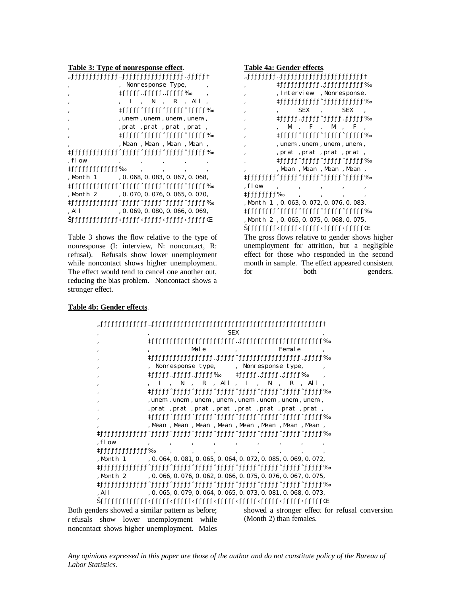**Table 3: Type of nonresponse effect**.

|                | †11111-1111111111111111111-            |
|----------------|----------------------------------------|
|                | Nonresponse Type,                      |
|                | %1111111111111111                      |
|                | $I$ , $N$ , $R$ , $All$                |
|                | ‰11111^111111^1111111111               |
|                | , unem-, unem-, unem-, unem-,          |
|                | , prat, prat, prat, prat,              |
|                | \$fffff^fffff^ffffffffffffffff         |
|                | , Mean , Mean , Mean , Mean ,          |
|                |                                        |
| . flow         |                                        |
| %1111111111111 | $\overline{\phantom{a}}$               |
| Month 1,       | , 0. 068, 0. 083, 0. 067, 0. 068,      |
|                |                                        |
| Month 2        | , 0. 070, 0. 076, 0. 065, 0. 070,      |
|                |                                        |
| . Al l         | , 0.069, 0.080, 0.066, 0.069,          |
|                | Dtitliritliritliritliritliritliritliri |

Table 3 shows the flow relative to the type of nonresponse (I: interview, N: noncontact, R: refusal). Refusals show lower unemployment while noncontact shows higher unemployment. The effect would tend to cancel one another out, reducing the bias problem. Noncontact shows a stronger effect.

**Table 4a: Gender effects**. thtthtthtthtthtthtthtthttp://www.phparthtthtthttp://www.phparthtthtthttp://www.phparthtthttp://www.p ' ‡ƒƒƒƒƒƒƒƒƒƒƒ…ƒƒƒƒƒƒƒƒƒƒƒ‰ , Interview, Nonresponse, ' ‡ƒƒƒƒƒƒƒƒƒƒƒˆƒƒƒƒƒƒƒƒƒƒƒ‰ SEX, SEX ' ‡ƒƒƒƒƒ…ƒƒƒƒƒˆƒƒƒƒƒ…ƒƒƒƒƒ‰  $, M$ ,  $F$ ,  $M$ ,  $F$ ,  $\bullet\$ 1<br/>tttlt1\*ttlt1\*ttlt1\*ttlt1\*ttlt1\*ttlt1\*ttlt1\*ttlt1\*ttlt1\*ttlt1\*ttl , unem-, unem-, unem-, , prat , prat , prat , prat , ' ‡ƒƒƒƒƒˆƒƒƒƒƒˆƒƒƒƒƒˆƒƒƒƒƒ‰ , Mean, Mean, Mean, Mean, ‡ƒƒƒƒƒƒƒƒˆƒƒƒƒƒˆƒƒƒƒƒˆƒƒƒƒƒˆƒƒƒƒƒ‰  $,$  flow  $,$   $,$   $,$   $,$ ‡ƒƒƒƒƒƒƒƒ‰ ' ' ' ' , Month 1, 0.063, 0.072, 0.076, 0.083, whthtathtarian whistletic statement of the formulation of the formulation of the formulation of the formulation of the formula set of the formula set of the formula set of the formula set of the formula set of the formula , Month 2, 0.065, 0.075, 0.068, 0.075, Dhttp://tltle.html?udgen.html?udgen.html?udgen.html?udgen.html?udgen.html?udgen.h The gross flows relative to gender shows higher unemployment for attrition, but a negligible

effect for those who responded in the second month in sample. The effect appeared consistent for both genders.

#### **Table 4b: Gender effects**.

| ,                                                                                                                                                                                                                       |                                                                   |                   |         | <b>SEX</b> |                     |    |        |                     |                                                 |
|-------------------------------------------------------------------------------------------------------------------------------------------------------------------------------------------------------------------------|-------------------------------------------------------------------|-------------------|---------|------------|---------------------|----|--------|---------------------|-------------------------------------------------|
|                                                                                                                                                                                                                         |                                                                   |                   |         |            |                     |    |        |                     |                                                 |
| $\cdot$                                                                                                                                                                                                                 |                                                                   |                   | Male    |            |                     |    | Female |                     |                                                 |
| $\cdot$<br>,                                                                                                                                                                                                            |                                                                   | Nonresponse type, |         |            | , Nonresponse type, |    |        |                     |                                                 |
| $\cdot$                                                                                                                                                                                                                 | ®1.1.1.1.1.1.1.1.1.1.1.1.1.1.1.1.1                                |                   |         |            | %111111111111111    |    |        |                     |                                                 |
| $\cdot$                                                                                                                                                                                                                 |                                                                   | N                 |         |            | , $R$ , All, I,     | -N |        | $\mathbf{R}$ , All, |                                                 |
| $\cdot$                                                                                                                                                                                                                 |                                                                   |                   |         |            |                     |    |        |                     |                                                 |
| $\cdot$                                                                                                                                                                                                                 | , unem-, unem-, unem-, unem-, unem-, unem-, unem-, unem-,         |                   |         |            |                     |    |        |                     |                                                 |
| ,                                                                                                                                                                                                                       | , prat, prat, prat, prat, prat, prat, prat, prat,                 |                   |         |            |                     |    |        |                     |                                                 |
| $\cdot$                                                                                                                                                                                                                 |                                                                   |                   |         |            |                     |    |        |                     |                                                 |
|                                                                                                                                                                                                                         | , Mean , Mean , Mean , Mean , Mean , Mean , Mean ,                |                   |         |            |                     |    |        |                     |                                                 |
| «\text{\text{\text{\text{\text{\text{\text{\text{\text{\text{\text{\text{\text{\text{\text{\text{\text{\text{\text{\text{\text{\text{\text{\text{\text{\text{\text{\text{\text{\text{\text{\text{\si}}}}} \frac{\lin \} |                                                                   |                   |         |            |                     |    |        |                     |                                                 |
| , $flow$                                                                                                                                                                                                                |                                                                   |                   |         |            |                     |    |        |                     |                                                 |
|                                                                                                                                                                                                                         |                                                                   | $\cdot$           | $\cdot$ |            |                     |    |        |                     |                                                 |
| , Month 1                                                                                                                                                                                                               | , 0. 064, 0. 081, 0. 065, 0. 064, 0. 072, 0. 085, 0. 069, 0. 072, |                   |         |            |                     |    |        |                     |                                                 |
|                                                                                                                                                                                                                         |                                                                   |                   |         |            |                     |    |        |                     |                                                 |
| .Month 2                                                                                                                                                                                                                | , 0. 066, 0. 076, 0. 062, 0. 066, 0. 075, 0. 076, 0. 067, 0. 075, |                   |         |            |                     |    |        |                     |                                                 |
|                                                                                                                                                                                                                         |                                                                   |                   |         |            |                     |    |        |                     |                                                 |
| , Al $l$                                                                                                                                                                                                                | , 0. 065, 0. 079, 0. 064, 0. 065, 0. 073, 0. 081, 0. 068, 0. 073, |                   |         |            |                     |    |        |                     |                                                 |
| Dhititle>ttitle>ttitle>ttitle>ttitle>ttitle>ttitle+ttitle+ttitle="                                                                                                                                                      |                                                                   |                   |         |            |                     |    |        |                     |                                                 |
| Both genders showed a similar pattern as before;                                                                                                                                                                        |                                                                   |                   |         |            |                     |    |        |                     | showed a stronger effect for refusal conversion |
|                                                                                                                                                                                                                         |                                                                   |                   |         |            |                     |    |        |                     |                                                 |

Both ge refusals show lower unemployment while noncontact shows higher unemployment. Males (Month 2) than females.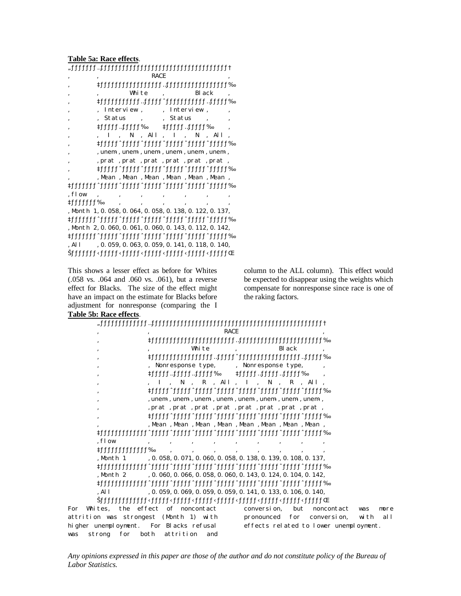**Table 5a: Race effects**.

|            | <b>RACE</b>                                           |
|------------|-------------------------------------------------------|
|            |                                                       |
|            | Whi te<br><b>Black</b>                                |
|            |                                                       |
|            | Interview.<br>Interview,                              |
|            | <b>Status</b><br>. Status<br>$\overline{\phantom{a}}$ |
|            | ‡ffffff…ffffff‰<br>‡fffff…fffff‰                      |
|            | $, All, I$ ,<br>N –<br>. All<br>N                     |
|            |                                                       |
|            | , unem-, unem-, unem-, unem-, unem-, unem-,           |
|            | , prat, prat, prat, prat, prat, prat,                 |
|            |                                                       |
|            | , Mean , Mean , Mean , Mean , Mean , Mean ,           |
|            |                                                       |
| . flow     |                                                       |
| ‡ffffffff‰ |                                                       |
|            | , Month 1, 0.058, 0.064, 0.058, 0.138, 0.122, 0.137,  |
|            |                                                       |
|            | , Month 2, 0.060, 0.061, 0.060, 0.143, 0.112, 0.142,  |
|            |                                                       |
| . All      | , 0. 059, 0. 063, 0. 059, 0. 141, 0. 118, 0. 140,     |
|            |                                                       |

This shows a lesser effect as before for Whites (.058 vs. .064 and .060 vs. .061), but a reverse effect for Blacks. The size of the effect might have an impact on the estimate for Blacks before adjustment for nonresponse (comparing the I **Table 5b: Race effects**.

## column to the ALL column). This effect would be expected to disappear using the weights which compensate for nonresponse since race is one of the raking factors.

| Table 50; Nace effects.                                                                                                                                                                                                     |
|-----------------------------------------------------------------------------------------------------------------------------------------------------------------------------------------------------------------------------|
|                                                                                                                                                                                                                             |
| <b>RACE</b><br>,                                                                                                                                                                                                            |
| $\cdot$                                                                                                                                                                                                                     |
| White<br><b>Black</b><br>,                                                                                                                                                                                                  |
| «\text{\text{\text{\text{\text{\text{\text{\text{\text{\text{\text{\text{\text{\text{\text{\text{\te<br>,                                                                                                                   |
| , Nonresponse type,<br>, Nonresponse type,<br>$\cdot$                                                                                                                                                                       |
| %tffff:fffff:ffffffff<br>.%1111111111111111<br>,                                                                                                                                                                            |
| $I$ , N, R, All, I, N, R, All,<br>,                                                                                                                                                                                         |
| $\cdot$                                                                                                                                                                                                                     |
| , unem-, unem-, unem-, unem-, unem-, unem-, unem-, unem-,<br>,                                                                                                                                                              |
| , prat , prat , prat , prat , prat , prat , prat , prat ,<br>$\cdot$                                                                                                                                                        |
| Multi-11111^111111111111111111111111111111<br>,                                                                                                                                                                             |
| , Mean, Mean, Mean, Mean, Mean, Mean, Mean, Mean,                                                                                                                                                                           |
|                                                                                                                                                                                                                             |
| $,$ flow                                                                                                                                                                                                                    |
| ‡ffffffffffffff‰                                                                                                                                                                                                            |
| , 0, 058, 0, 071, 0, 060, 0, 058, 0, 138, 0, 139, 0, 108, 0, 137,<br>, Month 1                                                                                                                                              |
| «\text{\text{\text{\text{\text{\text{\text{\text{\text{\text{\text{\text{\text{\text{\text{\text{\text{\text{\text{\text{\text{\text{\text{\text{\text{\text{\text{\text{\text{\text{\text{\text{\si}}}}}}\ \\ \eq{\text{\t |
| , 0, 060, 0, 066, 0, 058, 0, 060, 0, 143, 0, 124, 0, 104, 0, 142,<br>, Month 2                                                                                                                                              |
|                                                                                                                                                                                                                             |
| , 0. 059, 0. 069, 0. 059, 0. 059, 0. 141, 0. 133, 0. 106, 0. 140,<br>, Al 1                                                                                                                                                 |
| Thili > Thili > Thili > Thili > Thili > Thili > Thili > Thili > Thili Thili Thili Thili Thili Thili                                                                                                                         |
| Whites, the effect of noncontact<br>conversion,<br>but<br>For<br>noncontact<br>was<br>more                                                                                                                                  |
| attrition was strongest (Month 1) with<br>all<br>pronounced<br>for<br>conversion,<br>wi th                                                                                                                                  |
| higher unemployment. For Blacks refusal<br>effects related to lower unemployment.                                                                                                                                           |
| for<br>both<br>strong<br>attrition<br>and<br>was                                                                                                                                                                            |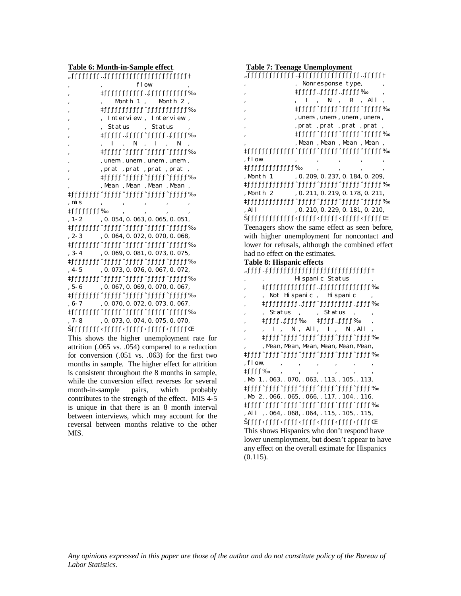**Table 6: Month-in-Sample effect**.

| fl ow                                                                                                                                                                                                                                                           |
|-----------------------------------------------------------------------------------------------------------------------------------------------------------------------------------------------------------------------------------------------------------------|
| Multitletilet.html                                                                                                                                                                                                                                              |
| Month $1$ , Month $2$ ,                                                                                                                                                                                                                                         |
|                                                                                                                                                                                                                                                                 |
| Interview, Interview,                                                                                                                                                                                                                                           |
| Status , Status                                                                                                                                                                                                                                                 |
|                                                                                                                                                                                                                                                                 |
| N<br>$\mathbf{I}$<br>N                                                                                                                                                                                                                                          |
| <sup>®</sup> tthtt`ttttttttttttttttt≠                                                                                                                                                                                                                           |
| , unem-, unem-, unem-, unem-,                                                                                                                                                                                                                                   |
| , prat, prat, prat, prat,                                                                                                                                                                                                                                       |
| «Lattle that the contract that the contract of the contract of the contract of the contract of the contract of $\mathbb{R}^n$ and $\mathbb{R}^n$ and $\mathbb{R}^n$ and $\mathbb{R}^n$ and $\mathbb{R}^n$ and $\mathbb{R}^n$ and $\mathbb{R}^n$ and $\mathbb{R$ |
| , Mean, Mean, Mean, Mean,                                                                                                                                                                                                                                       |
|                                                                                                                                                                                                                                                                 |
| , mi s                                                                                                                                                                                                                                                          |
| ‡fffffffff‰                                                                                                                                                                                                                                                     |
| , 0. 054, 0. 063, 0. 065, 0. 051,<br>, $1 - 2$                                                                                                                                                                                                                  |
|                                                                                                                                                                                                                                                                 |
| , 0. 064, 0. 072, 0. 070, 0. 068,<br>$, 2-3$                                                                                                                                                                                                                    |
|                                                                                                                                                                                                                                                                 |
| , 0. 069, 0. 081, 0. 073, 0. 075,<br>$, 3 - 4$                                                                                                                                                                                                                  |
|                                                                                                                                                                                                                                                                 |
| , 0. 073, 0. 076, 0. 067, 0. 072,<br>$, 4-5$                                                                                                                                                                                                                    |
| Multi-1111111111111111111111                                                                                                                                                                                                                                    |
| , 0. 067, 0. 069, 0. 070, 0. 067,<br>, 5-6                                                                                                                                                                                                                      |
|                                                                                                                                                                                                                                                                 |
| , 0. 070, 0. 072, 0. 073, 0. 067,<br>$, 6-7$                                                                                                                                                                                                                    |
|                                                                                                                                                                                                                                                                 |
| , 0. 073, 0. 074, 0. 075, 0. 070,<br>. 7- 8                                                                                                                                                                                                                     |
|                                                                                                                                                                                                                                                                 |
| This shows the higher unemployment ra                                                                                                                                                                                                                           |

te for attrition (.065 vs. .054) compared to a reduction for conversion (.051 vs. .063) for the first two months in sample. The higher effect for attrition is consistent throughout the 8 months in sample, while the conversion effect reverses for several month-in-sample pairs, which probably contributes to the strength of the effect. MIS 4-5 is unique in that there is an 8 month interval between interviews, which may account for the reversal between months relative to the other MIS.

**Table 7: Teenage Unemployment** "ƒƒƒƒƒƒƒƒƒƒƒƒƒ…ƒƒƒƒƒƒƒƒƒƒƒƒƒƒƒƒƒ…ƒƒƒƒƒ† , Nonresponse type, ' ‡ƒƒƒƒƒ…ƒƒƒƒƒ…ƒƒƒƒƒ‰ '  $, I, N, R, All,$ ' ‡ƒƒƒƒƒˆƒƒƒƒƒˆƒƒƒƒƒˆƒƒƒƒƒ‰ , unem-, unem-, unem-, , prat , prat , prat , ' ‡ƒƒƒƒƒˆƒƒƒƒƒˆƒƒƒƒƒˆƒƒƒƒƒ‰ , Mean, Mean, Mean, ‡ƒƒƒƒƒƒƒƒƒƒƒƒƒˆƒƒƒƒƒˆƒƒƒƒƒˆƒƒƒƒƒˆƒƒƒƒƒ‰  $,$  flow  $,$   $,$   $,$   $,$   $,$   $,$ ‡ƒƒƒƒƒƒƒƒƒƒƒƒƒ‰ ' ' ' ' , Month 1 , 0.209, 0.237, 0.184, 0.209, ‡ƒƒƒƒƒƒƒƒƒƒƒƒƒˆƒƒƒƒƒˆƒƒƒƒƒˆƒƒƒƒƒˆƒƒƒƒƒ‰ , Month 2 , 0.211, 0.219, 0.178, 0.211, ‡ƒƒƒƒƒƒƒƒƒƒƒƒƒˆƒƒƒƒƒˆƒƒƒƒƒˆƒƒƒƒƒˆƒƒƒƒƒ‰ , All , 0.210, 0.229, 0.181, 0.210, Dhtth > thttp://thttp://thttp://thttp://thttp://thttp://thttp://thttp://th Teenagers show the same effect as seen before, with higher unemployment for noncontact and lower for refusals, although the combined effect had no effect on the estimates. **Table 8: Hispanic effects**  $\label{prop:rel-approx}$  <br>  $\;$  thth-thth-thth-thth-thth-thth-thth-Hispanic Status ' ‡ƒƒƒƒƒƒƒƒƒƒƒƒƒƒ…ƒƒƒƒƒƒƒƒƒƒƒƒƒƒ‰ , Not Hispanic, Hispanic ' ‡ƒƒƒƒƒƒƒƒƒ…ƒƒƒƒˆƒƒƒƒƒƒƒƒƒ…ƒƒƒƒ‰ , Status , , Status , ' ‡ƒƒƒƒ…ƒƒƒƒ‰ ‡ƒƒƒƒ…ƒƒƒƒ‰ ' , I, N, All, I, N, All, %thtt"<br>thtt"thtt"thtt"thtt"right"right"right"right"right"right"right"right"right"right"right"right"right"right"right"r<br>  $\mathcal{H}$ 

, Mean, Mean, Mean, Mean, Mean, ‡ƒƒƒƒˆƒƒƒƒˆƒƒƒƒˆƒƒƒƒˆƒƒƒƒˆƒƒƒƒˆƒƒƒƒ‰  $flow, \qquad , \qquad , \qquad , \qquad , \qquad ,$  $#ffff$ ‰  $(Mo 1, .063, .070, .063, .113, .105, .113)$ and the fifth fifth fifth fifth fifth fifth fifth fifth fifth fifth fifth fifth fifth fifth fifth fi  $,M_0$  2,  $.066, .065, .066, .117, .104, .116,$ ‡ƒƒƒƒˆƒƒƒƒˆƒƒƒƒˆƒƒƒƒˆƒƒƒƒˆƒƒƒƒˆƒƒƒƒ‰ , All , . 064, . 068, . 064, . 115, . 105, . 115, Dtttt i fthe state of the state of the state of the state of the state of the state of the state of the state  $\mathbb{E}$ This shows Hispanics who don't respond have lower unemployment, but doesn't appear to have any effect on the overall estimate for Hispanics (0.115).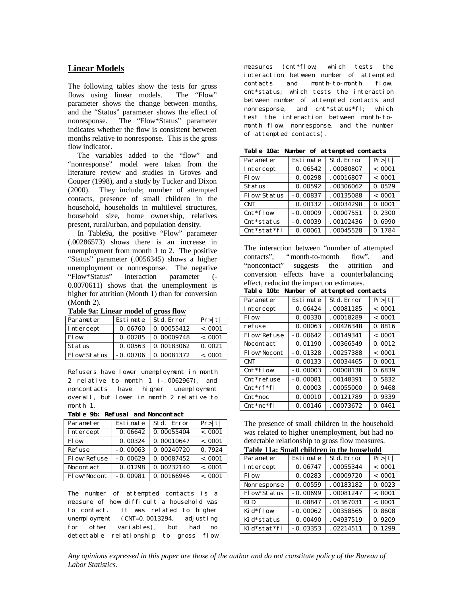# **Linear Models**

The following tables show the tests for gross<br>flows using linear models. The "Flow" flows using linear models. parameter shows the change between months, and the "Status" parameter shows the effect of nonresponse. The "Flow\*Status" parameter indicates whether the flow is consistent between months relative to nonresponse. This is the gross flow indicator.

 The variables added to the "flow" and "nonresponse" model were taken from the literature review and studies in Groves and Couper (1998), and a study by Tucker and Dixon (2000). They include; number of attempted contacts, presence of small children in the household, households in multilevel structures, household size, home ownership, relatives present, rural/urban, and population density.

 In Table9a, the positive "Flow" parameter (.00286573) shows there is an increase in unemployment from month 1 to 2. The positive "Status" parameter (.0056345) shows a higher unemployment or nonresponse. The negative "Flow\*Status" interaction parameter (- 0.0070611) shows that the unemployment is higher for attrition (Month 1) than for conversion (Month 2).

| Parameter     | Estimate   | Std. Error | Pr> t    |  |  |  |  |
|---------------|------------|------------|----------|--|--|--|--|
| Intercept     | 0.06760    | 0.00055412 | $-.0001$ |  |  |  |  |
| Fl ow         | 0.00285    | 0.00009748 | $-.0001$ |  |  |  |  |
| <b>Status</b> | 0.00563    | 0.00183062 | 0.0021   |  |  |  |  |
| Flow*Status   | $-0.00706$ | 0.00081372 | $-.0001$ |  |  |  |  |

**Table 9a: Linear model of gross flow**

Refusers have lower unemployment in month 2 relative to month 1 (-.0062967), and noncontacts have higher unemployment overall, but lower in month 2 relative to month 1.

**Table 9b: Refusal and Noncontact**

| Parameter   | Estimate   | Std. Error | Pr> t    |
|-------------|------------|------------|----------|
| Intercept   | 0.06642    | 0.00055404 | $-.0001$ |
| Fl ow       | 0.00324    | 0.00010647 | $-.0001$ |
| Refuse      | $-0.00063$ | 0.00240720 | 0.7924   |
| Flow*Refuse | $-0.00629$ | 0.00087452 | < .0001  |
| Nocontact   | 0.01298    | 0.00232140 | < .0001  |
| Flow*Nocont | $-0.00981$ | 0.00166946 | < .0001  |

The number of attempted contacts is a measure of how difficult a household was to contact. It was related to higher unemployment (CNT=0.0013294, adjusting<br>for other variables), but had no for other variables), detectable relationship to gross flow measures (cnt\*flow; which tests the interaction between number of attempted contacts and month-to-month flow, cnt\*status; which tests the interaction between number of attempted contacts and nonresponse, and cnt\*status\*fl; which test the interaction between month-tomonth flow, nonresponse, and the number of attempted contacts).

| labit lva.<br>Rumber of accempted contacts |            |                   |          |  |  |  |
|--------------------------------------------|------------|-------------------|----------|--|--|--|
| Parameter                                  | Estimate   | <b>Std. Error</b> | Pr> t    |  |  |  |
| Intercept                                  | 0.06542    | .00080807         | $-.0001$ |  |  |  |
| Fl ow                                      | 0.00298    | .00016807         | $-.0001$ |  |  |  |
| <b>Status</b>                              | 0.00592    | .00306062         | 0.0529   |  |  |  |
| Flow*Status                                | $-0.00837$ | .00135088         | $-.0001$ |  |  |  |
| <b>CNT</b>                                 | 0.00132    | .00034298         | 0.0001   |  |  |  |
| $Cnt * flow$                               | $-0.00009$ | .00007551         | 0.2300   |  |  |  |
| Cnt*status                                 | $-0.00039$ | .00102436         | 0.6990   |  |  |  |
| $Cnt$ *stat*fl                             | 0.00061    | .00045528         | 0.1784   |  |  |  |

**Table 10a: Number of attempted contacts**

The interaction between "number of attempted contacts", "month-to-month flow", and<br>"noncontact" suggests the attrition and suggests the attrition and conversion effects have a counterbalancing effect, reducint the impact on estimates.

**Table 10b: Number of attempted contacts**

| Parameter                                | Estimate   | <b>St.d. Error</b> | Pr> t    |
|------------------------------------------|------------|--------------------|----------|
| Intercept                                | 0.06424    | .00081185          | $-.0001$ |
| Fl ow                                    | 0.00330    | .00018289          | $-.0001$ |
| refuse                                   | 0.00063    | .00426348          | 0.8816   |
| Flow*Refuse                              | $-0.00642$ | .00149341          | $-.0001$ |
| Nocontact                                | 0.01190    | .00366549          | 0.0012   |
| Flow*Nocont                              | $-0.01328$ | .00257388          | $-.0001$ |
| <b>CNT</b>                               | 0.00133    | .00034465          | 0.0001   |
| $Cnt * flow$                             | $-0.00003$ | .00008138          | 0.6839   |
| Cnt*refuse                               | $-0.00081$ | .00148391          | 0.5832   |
| $\mathsf{Cnt}^*\mathsf{rf}^*\mathsf{fl}$ | 0.00003    | .00055000          | 0.9468   |
| $\mathsf{Cnt}^*$ noc                     | 0.00010    | .00121789          | 0.9339   |
| $\mathsf{Cnt}^*$ nc $\mathsf{f}$ l       | 0.00146    | .00073672          | 0.0461   |

The presence of small children in the household was related to higher unemployment, but had no detectable relationship to gross flow measures.

|  |  |  | Table 11a: Small children in the household |
|--|--|--|--------------------------------------------|
|  |  |  |                                            |

| Parameter   | Estimate   | Std. Error | Pr> t    |
|-------------|------------|------------|----------|
| Intercept   | 0.06747    | .00055344  | $-.0001$ |
| Fl ow       | 0.00283    | .00009720  | $-.0001$ |
| Nonresponse | 0.00559    | .00183182  | 0.0023   |
| Flow*Status | $-0.00699$ | .00081247  | $-.0001$ |
| KI D        | 0.08847    | .01367031  | $-.0001$ |
| Kid*flow    | $-0.00062$ | .00358565  | 0.8608   |
| Kid*status  | 0.00490    | .04937519  | 0.9209   |
| Kid*stat*fl | $-0.03353$ | .02214511  | 0.1299   |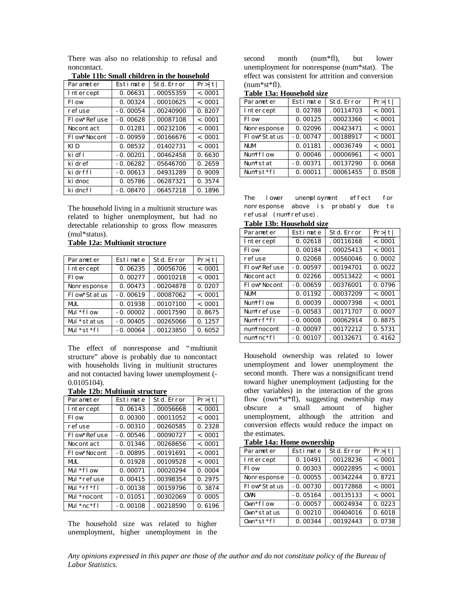There was also no relationship to refusal and noncontact.

| Parameter        | Estimate   | <b>St.d. Error</b> | Pr> t    |
|------------------|------------|--------------------|----------|
| Intercept        | 0.06631    | .00055359          | $-.0001$ |
| Fl ow            | 0.00324    | .00010625          | $-.0001$ |
| refuse           | $-0.00054$ | .00240900          | 0.8207   |
| Flow*Refuse      | $-0.00628$ | .00087108          | $-.0001$ |
| <b>Nocontact</b> | 0.01281    | .00232106          | < 0.001  |
| Fl ow*Nocont     | $-0.00959$ | .00166676          | $-.0001$ |
| KI D             | 0.08532    | .01402731          | $-.0001$ |
| ki dfl           | $-0.00201$ | .00462458          | 0.6630   |
| ki dref          | $-0.06282$ | .05646700          | 0.2659   |
| ki drffl         | $-0.00613$ | .04931289          | 0.9009   |
| ki dnoc          | 0.05786    | .06287321          | 0.3574   |
| ki dncfl         | $-0.08470$ | .06457218          | 0.1896   |

**Table 11b: Small children in the household**

The household living in a multiunit structure was related to higher unemployment, but had no detectable relationship to gross flow measures (mul\*status).

**Table 12a: Multiunit structure**

| Parameter       | Estimate   | <b>Std. Error</b> | Pr> t    |
|-----------------|------------|-------------------|----------|
| Intercept       | 0.06235    | .00056706         | $-.0001$ |
| Fl ow           | 0.00277    | .00010218         | $-.0001$ |
| Nonresponse     | 0.00473    | .00204878         | 0.0207   |
| Flow*Status     | $-0.00619$ | .00087062         | $-.0001$ |
| MUL.            | 0.01938    | .00107100         | $-.0001$ |
| $Mul * flow$    | $-0.00002$ | .00017590         | 0.8675   |
| Mul *status     | $-0.00405$ | .00265066         | 0.1257   |
| $Mul * st * fl$ | $-0.00064$ | .00123850         | 0.6052   |

The effect of nonresponse and "multiunit structure" above is probably due to noncontact with households living in multiunit structures and not contacted having lower unemployment (- 0.0105104).

| Table 12b: Multiunit structure |  |
|--------------------------------|--|
|--------------------------------|--|

| Parameter                  | Estimate   | <b>St.d. Error</b> | Pr> t    |
|----------------------------|------------|--------------------|----------|
| Intercept                  | 0.06143    | .00056668          | $-.0001$ |
| Fl ow                      | 0.00300    | .00011052          | $-.0001$ |
| refuse                     | $-0.00310$ | .00260585          | 0.2328   |
| Flow*Refuse                | $-0.00546$ | .00090727          | $-.0001$ |
| Nocontact                  | 0.01346    | .00268656          | $-.0001$ |
| Flow*Nocont                | $-0.00895$ | .00191691          | $-.0001$ |
| MUL.                       | 0.01928    | .00109528          | $-.0001$ |
| Mul $*$ flow               | 0.00071    | .00020294          | 0.0004   |
| Mul *refuse                | 0.00415    | .00398354          | 0.2975   |
| Mul $\text{*rf}\text{*fl}$ | $-0.00138$ | .00159796          | 0.3874   |
| Mul *nocont                | $-0.01051$ | .00302069          | 0.0005   |
| Mul *nc*fl                 | $-0.00108$ | .00218590          | 0.6196   |

The household size was related to higher unemployment, higher unemployment in the second month (num\*fl), but lower unemployment for nonresponse (num\*stat). The effect was consistent for attrition and conversion (num\*st\*fl).

| Parameter             | Estimate   | <b>Std. Error</b> | Pr> t    |
|-----------------------|------------|-------------------|----------|
| Intercept             | 0.02788    | .00114703         | $-.0001$ |
| Fl ow                 | 0.00125    | .00023366         | $-.0001$ |
| Nonresponse           | 0.02096    | .00423471         | $-.0001$ |
| Flow*Status           | $-0.00747$ | .00188917         | $-.0001$ |
| <b>NUM</b>            | 0.01181    | .00036749         | $-.0001$ |
| Num <sup>*</sup> flow | 0.00046    | .00006961         | $-.0001$ |
| Num*stat              | $-0.00371$ | .00137290         | 0.0068   |
| Num*st*fl             | 0.00011    | .00061455         | 0.8508   |

The lower unemployment effect for nonresponse above is probably due to refusal (num\*refuse).

**Table 13b: Household size**

| Parameter             | Estimate   | <b>Std. Error</b> | Pr> t    |
|-----------------------|------------|-------------------|----------|
| Intercept             | 0.02618    | .00116168         | $-.0001$ |
| Fl ow                 | 0.00184    | .00025413         | $-.0001$ |
| refuse                | 0.02068    | .00560046         | 0.0002   |
| Flow*Refuse           | $-0.00597$ | .00194701         | 0.0022   |
| Nocontact             | 0.02266    | .00513422         | $-.0001$ |
| Flow*Nocont           | $-0.00659$ | .00376001         | 0.0796   |
| <b>NUM</b>            | 0.01192    | .00037209         | $-.0001$ |
| Num <sup>*</sup> flow | 0.00039    | .00007398         | $-.0001$ |
| Num*refuse            | $-0.00583$ | .00171707         | 0.0007   |
| Num*rf*fl             | $-0.00008$ | .00062914         | 0.8875   |
| num*nocont            | $-0.00097$ | .00172212         | 0.5731   |
| $num*nc*fl$           | $-0.00107$ | .00132671         | 0.4162   |

Household ownership was related to lower unemployment and lower unemployment the second month. There was a nonsignificant trend toward higher unemployment (adjusting for the other variables) in the interaction of the gross flow (own\*st\*fl), suggesting ownership may obscure a small amount of higher unemployment, although the attrition and conversion effects would reduce the impact on the estimates.

**Table 14a: Home ownership**

| Parameter       | Estimate   | Std. Error | Pr> t    |
|-----------------|------------|------------|----------|
| Intercept       | 0.10491    | .00128236  | $-.0001$ |
| Fl ow           | 0.00303    | .00022895  | $-.0001$ |
| Nonresponse     | $-0.00055$ | .00342244  | 0.8721   |
| Flow*Status     | $-0.00730$ | .00172868  | $-.0001$ |
| 0W <sub>N</sub> | $-0.05164$ | .00135133  | $-.0001$ |
| $0$ wn $*$ flow | $-0.00057$ | .00024934  | 0.0223   |
| 0wn*status      | 0.00210    | .00404016  | 0.6018   |
| $0$ wn*st*fl    | 0.00344    | .00192443  | 0.0738   |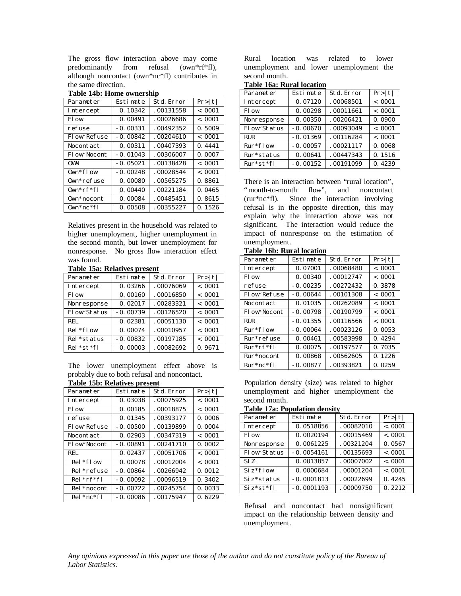The gross flow interaction above may come predominantly from refusal (own\*rf\*fl), although noncontact (own\*nc\*fl) contributes in the same direction.

| Table 14b: Home ownership |            |                    |          |  |
|---------------------------|------------|--------------------|----------|--|
| Parameter                 | Estimate   | <b>St.d. Error</b> | Pr> t    |  |
| Intercept                 | 0.10342    | .00131558          | $-.0001$ |  |
| Fl ow                     | 0.00491    | .00026686          | $-.0001$ |  |
| refuse                    | $-0.00331$ | .00492352          | 0.5009   |  |
| Flow*Refuse               | $-0.00842$ | .00204610          | $-.0001$ |  |
| Nocontact                 | 0.00311    | .00407393          | 0.4441   |  |
| Flow*Nocont               | $-0.01043$ | .00306007          | 0.0007   |  |
| 0W <sub>N</sub>           | $-0.05021$ | .00138428          | $-.0001$ |  |
| $0$ wn $*$ flow           | $-0.00248$ | .00028544          | $-.0001$ |  |
| $0$ wn*refuse             | 0.00080    | .00565275          | 0.8861   |  |
| $0$ wn*rf*fl              | 0.00440    | .00221184          | 0.0465   |  |
| $0$ wn*nocont             | 0.00084    | .00485451          | 0.8615   |  |
| $0$ wn*nc*fl              | 0.00508    | .00355227          | 0.1526   |  |

**Table 14b: Home ownership**

Relatives present in the household was related to higher unemployment, higher unemployment in the second month, but lower unemployment for nonresponse. No gross flow interaction effect was found.

#### **Table 15a: Relatives present**

| Parameter       | Estimate   | Std. Error | Pr> t    |
|-----------------|------------|------------|----------|
| Intercept       | 0.03266    | .00076069  | $-.0001$ |
| Fl ow           | 0.00160    | .00016850  | $-.0001$ |
| Nonresponse     | 0.02017    | .00283321  | $-.0001$ |
| Flow*Status     | $-0.00739$ | .00126520  | $-.0001$ |
| <b>REL</b>      | 0.02381    | .00051130  | $-.0001$ |
| $Rel * flow$    | 0.00074    | .00010957  | $-.0001$ |
| Rel *status     | $-0.00832$ | .00197185  | $-.0001$ |
| $Rel * st * fl$ | 0.00003    | .00082692  | 0.9671   |

The lower unemployment effect above is probably due to both refusal and noncontact. **Table 15b: Relatives present**

| Table 150. Relatives present |            |                    |          |
|------------------------------|------------|--------------------|----------|
| Parameter                    | Estimate   | <b>St.d. Error</b> | Pr> t    |
| Intercept                    | 0.03038    | .00075925          | $-.0001$ |
| Fl ow                        | 0.00185    | .00018875          | $-.0001$ |
| refuse                       | 0.01345    | .00393177          | 0.0006   |
| Flow*Refuse                  | $-0.00500$ | .00139899          | 0.0004   |
| Nocontact                    | 0.02903    | .00347319          | $-.0001$ |
| Flow*Nocont                  | $-0.00891$ | .00241710          | 0.0002   |
| <b>REL</b>                   | 0.02437    | .00051706          | $-.0001$ |
| $Rel * flow$                 | 0.00078    | .00012004          | $-.0001$ |
| Rel *refuse                  | $-0.00864$ | .00266942          | 0.0012   |
| $Rel * rf * fl$              | $-0.00092$ | .00096519          | 0.3402   |
| Rel *nocont                  | $-0.00722$ | .00245754          | 0.0033   |
| $Rel * nc * fl$              | $-0.00086$ | .00175947          | 0.6229   |

Rural location was related to lower unemployment and lower unemployment the second month.

**Table 16a: Rural location**

| Parameter    | Estimate   | Std. Error | Pr> t    |
|--------------|------------|------------|----------|
| Intercept    | 0.07120    | .00068501  | $-.0001$ |
| Fl ow        | 0.00298    | .00011661  | $-.0001$ |
| Nonresponse  | 0.00350    | .00206421  | 0.0900   |
| Flow*Status  | $-0.00670$ | .00093049  | $-.0001$ |
| <b>RUR</b>   | $-0.01369$ | .00116284  | $-.0001$ |
| $Rur * flow$ | $-0.00057$ | .00021117  | 0.0068   |
| Rur*status   | 0.00641    | .00447343  | 0.1516   |
| $Rur*st*fl$  | $-0.00152$ | .00191099  | 0.4239   |

There is an interaction between "rural location", "month-to-month flow", and noncontact (rur\*nc\*fl). Since the interaction involving refusal is in the opposite direction, this may explain why the interaction above was not significant. The interaction would reduce the impact of nonresponse on the estimation of unemployment.

| Table Tob. Kural location |            |                    |          |  |  |
|---------------------------|------------|--------------------|----------|--|--|
| Parameter                 | Estimate   | <b>St.d. Error</b> | Pr> t    |  |  |
| Intercept                 | 0.07001    | .00068480          | $-.0001$ |  |  |
| Fl ow                     | 0.00340    | .00012747          | $-.0001$ |  |  |
| refuse                    | $-0.00235$ | .00272432          | 0.3878   |  |  |
| Flow*Refuse               | $-0.00644$ | .00101308          | $-.0001$ |  |  |
| Nocontact                 | 0.01035    | .00262089          | $-.0001$ |  |  |
| Flow*Nocont               | $-0.00798$ | .00190799          | $-.0001$ |  |  |
| <b>RUR</b>                | $-0.01355$ | .00116566          | $-.0001$ |  |  |
| $Rur * flow$              | $-0.00064$ | .00023126          | 0.0053   |  |  |
| Rur*refuse                | 0.00461    | .00583998          | 0.4294   |  |  |
| $Rur^*rf^*fl$             | 0.00075    | .00197577          | 0.7035   |  |  |
| Rur*nocont                | 0.00868    | .00562605          | 0.1226   |  |  |
| $Rur^*nc^*fl$             | $-0.00877$ | .00393821          | 0.0259   |  |  |

# **Table 16b: Rural location**

Population density (size) was related to higher unemployment and higher unemployment the second month.

**Table 17a: Population density**

| Parameter               | Estimate     | Std. Error | Pr> t    |
|-------------------------|--------------|------------|----------|
| Intercept               | 0.0518856    | .00082010  | $-.0001$ |
| Fl ow                   | 0.0020194    | .00015469  | $-.0001$ |
| Nonresponse             | 0.0061225    | .00321204  | 0.0567   |
| Flow*Status             | $-0.0054161$ | .00135693  | $-.0001$ |
| SI <sub>Z</sub>         | 0.0013857    | .00007002  | $-.0001$ |
| $Si z * flow$           | 0.0000684    | .00001204  | $-.0001$ |
| Siz <sup>*</sup> status | $-0.0001813$ | .00022699  | 0.4245   |
| $Si z * st * fl$        | $-0.0001193$ | .00009750  | 0.2212   |

Refusal and noncontact had nonsignificant impact on the relationship between density and unemployment.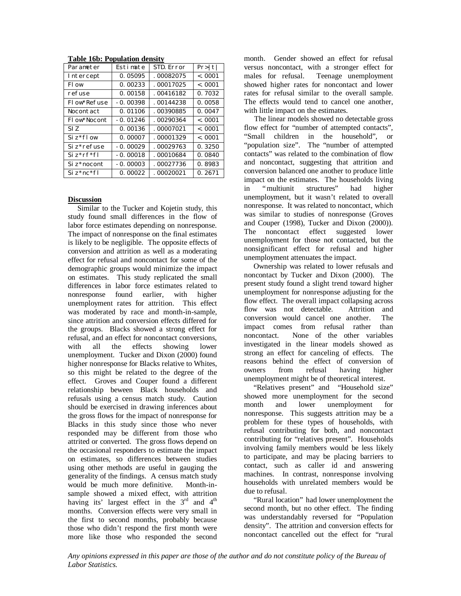| Parameter        | Estimate   | <b>STD. Error</b> | Pr> t    |
|------------------|------------|-------------------|----------|
| Intercept        | 0.05095    | .00082075         | $-.0001$ |
| Fl ow            | 0.00233    | .00017025         | $-.0001$ |
| refuse           | 0.00158    | .00416182         | 0.7032   |
| Flow*Refuse      | $-0.00398$ | .00144238         | 0.0058   |
| <b>Nocontact</b> | 0.01106    | .00390885         | 0.0047   |
| Fl ow*Nocont     | $-0.01246$ | .00290364         | < 0.001  |
| ST <sub>Z</sub>  | 0.00136    | .00007021         | $-.0001$ |
| $Si z * flow$    | 0.00007    | .00001329         | $-.0001$ |
| $Si z*refuse$    | $-0.00029$ | .00029763         | 0.3250   |
| $Si z^* r f^* f$ | $-0.00018$ | .00010684         | 0.0840   |
| Si z*nocont      | $-0.00003$ | .00027736         | 0.8983   |
| $Si z*nc*fl$     | 0.00022    | .00020021         | 0.2671   |

**Table 16b: Population density**

#### **Discussion**

 Similar to the Tucker and Kojetin study, this study found small differences in the flow of labor force estimates depending on nonresponse. The impact of nonresponse on the final estimates is likely to be negligible. The opposite effects of conversion and attrition as well as a moderating effect for refusal and noncontact for some of the demographic groups would minimize the impact on estimates. This study replicated the small differences in labor force estimates related to nonresponse found earlier, with higher unemployment rates for attrition. This effect was moderated by race and month-in-sample, since attrition and conversion effects differed for the groups. Blacks showed a strong effect for refusal, and an effect for noncontact conversions, with all the effects showing lower unemployment. Tucker and Dixon (2000) found higher nonresponse for Blacks relative to Whites, so this might be related to the degree of the effect. Groves and Couper found a different relationship beween Black households and refusals using a census match study. Caution should be exercised in drawing inferences about the gross flows for the impact of nonresponse for Blacks in this study since those who never responded may be different from those who attrited or converted. The gross flows depend on the occasional responders to estimate the impact on estimates, so differences between studies using other methods are useful in gauging the generality of the findings. A census match study would be much more definitive. Month-insample showed a mixed effect, with attrition having its' largest effect in the  $3<sup>rd</sup>$  and  $4<sup>th</sup>$ months. Conversion effects were very small in the first to second months, probably because those who didn't respond the first month were more like those who responded the second

month. Gender showed an effect for refusal versus noncontact, with a stronger effect for males for refusal. Teenage unemployment showed higher rates for noncontact and lower rates for refusal similar to the overall sample. The effects would tend to cancel one another, with little impact on the estimates.

 The linear models showed no detectable gross flow effect for "number of attempted contacts", "Small children in the household", or "population size". The "number of attempted contacts" was related to the combination of flow and noncontact, suggesting that attrition and conversion balanced one another to produce little impact on the estimates. The households living in "multiunit structures" had higher unemployment, but it wasn't related to overall nonresponse. It was related to noncontact, which was similar to studies of nonresponse (Groves and Couper (1998), Tucker and Dixon (2000)). The noncontact effect suggested lower unemployment for those not contacted, but the nonsignificant effect for refusal and higher unemployment attenuates the impact.

 Ownership was related to lower refusals and noncontact by Tucker and Dixon (2000). The present study found a slight trend toward higher unemployment for nonresponse adjusting for the flow effect. The overall impact collapsing across flow was not detectable. Attrition and conversion would cancel one another. The impact comes from refusal rather than noncontact. None of the other variables investigated in the linear models showed as strong an effect for canceling of effects. The reasons behind the effect of conversion of owners from refusal having higher unemployment might be of theoretical interest.

 "Relatives present" and "Household size" showed more unemployment for the second month and lower unemployment for nonresponse. This suggests attrition may be a problem for these types of households, with refusal contributing for both, and noncontact contributing for "relatives present". Households involving family members would be less likely to participate, and may be placing barriers to contact, such as caller id and answering machines. In contrast, nonresponse involving households with unrelated members would be due to refusal.

 "Rural location" had lower unemployment the second month, but no other effect. The finding was understandably reversed for "Population density". The attrition and conversion effects for noncontact cancelled out the effect for "rural